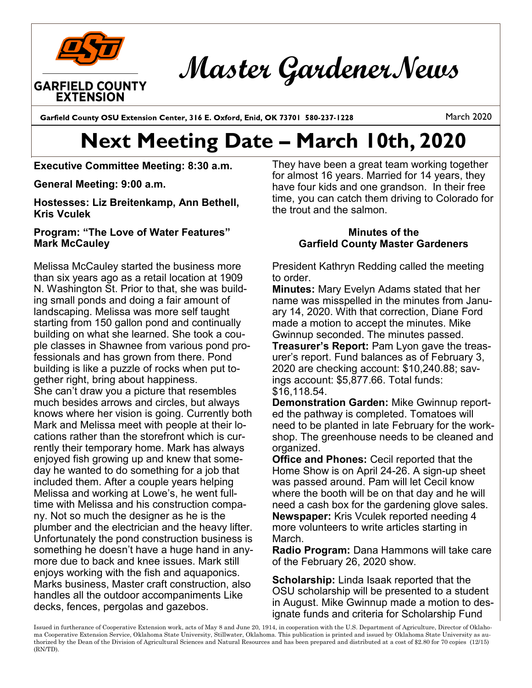

Master Gardener News

Garfield County OSU Extension Center, 316 E. Oxford, Enid, OK 73701 580-237-1228

March 2020

## **Next Meeting Date – March 10th, 2020**

**Executive Committee Meeting: 8:30 a.m.** 

**General Meeting: 9:00 a.m.** 

**Hostesses: Liz Breitenkamp, Ann Bethell, Kris Vculek**

## **Program: "The Love of Water Features" Mark McCauley**

Melissa McCauley started the business more than six years ago as a retail location at 1909 N. Washington St. Prior to that, she was building small ponds and doing a fair amount of landscaping. Melissa was more self taught starting from 150 gallon pond and continually building on what she learned. She took a couple classes in Shawnee from various pond professionals and has grown from there. Pond building is like a puzzle of rocks when put together right, bring about happiness. She can't draw you a picture that resembles much besides arrows and circles, but always knows where her vision is going. Currently both Mark and Melissa meet with people at their locations rather than the storefront which is currently their temporary home. Mark has always enjoyed fish growing up and knew that someday he wanted to do something for a job that included them. After a couple years helping Melissa and working at Lowe's, he went fulltime with Melissa and his construction company. Not so much the designer as he is the plumber and the electrician and the heavy lifter. Unfortunately the pond construction business is something he doesn't have a huge hand in anymore due to back and knee issues. Mark still enjoys working with the fish and aquaponics. Marks business, Master craft construction, also handles all the outdoor accompaniments Like decks, fences, pergolas and gazebos.

They have been a great team working together for almost 16 years. Married for 14 years, they have four kids and one grandson. In their free time, you can catch them driving to Colorado for the trout and the salmon.

## **Minutes of the Garfield County Master Gardeners**

President Kathryn Redding called the meeting to order.

**Minutes:** Mary Evelyn Adams stated that her name was misspelled in the minutes from January 14, 2020. With that correction, Diane Ford made a motion to accept the minutes. Mike Gwinnup seconded. The minutes passed.

**Treasurer's Report:** Pam Lyon gave the treasurer's report. Fund balances as of February 3, 2020 are checking account: \$10,240.88; savings account: \$5,877.66. Total funds: \$16,118.54.

**Demonstration Garden:** Mike Gwinnup reported the pathway is completed. Tomatoes will need to be planted in late February for the workshop. The greenhouse needs to be cleaned and organized.

**Office and Phones:** Cecil reported that the Home Show is on April 24-26. A sign-up sheet was passed around. Pam will let Cecil know where the booth will be on that day and he will need a cash box for the gardening glove sales. **Newspaper:** Kris Vculek reported needing 4 more volunteers to write articles starting in March.

**Radio Program:** Dana Hammons will take care of the February 26, 2020 show.

**Scholarship:** Linda Isaak reported that the OSU scholarship will be presented to a student in August. Mike Gwinnup made a motion to designate funds and criteria for Scholarship Fund

Issued in furtherance of Cooperative Extension work, acts of May 8 and June 20, 1914, in cooperation with the U.S. Department of Agriculture, Director of Oklahoma Cooperative Extension Service, Oklahoma State University, Stillwater, Oklahoma. This publication is printed and issued by Oklahoma State University as authorized by the Dean of the Division of Agricultural Sciences and Natural Resources and has been prepared and distributed at a cost of \$2.80 for 70 copies (12/15) (RN/TD).